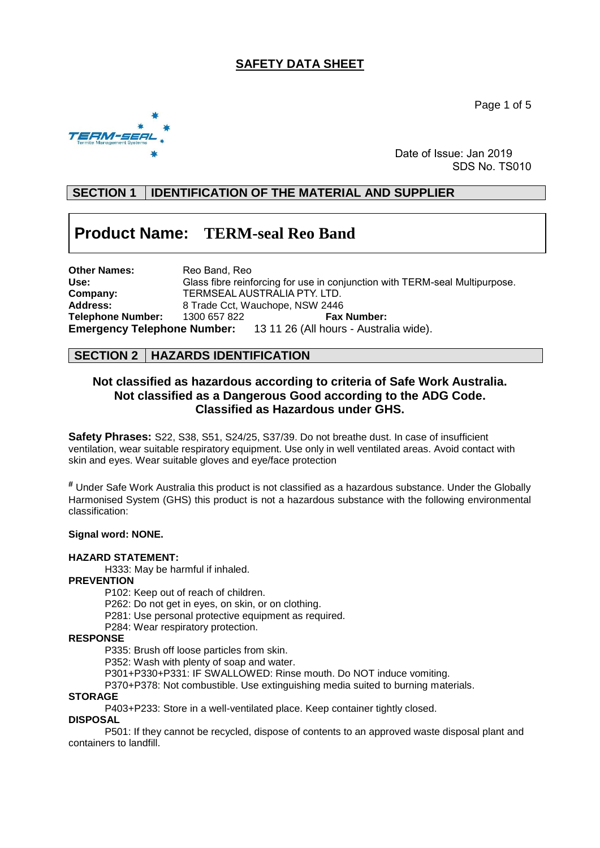# **SAFETY DATA SHEET**

Page 1 of 5



 Date of Issue: Jan 2019 SDS No. TS010

# **SECTION 1 IDENTIFICATION OF THE MATERIAL AND SUPPLIER**

# **Product Name: TERM-seal Reo Band**

| Other Names:                       | Reo Band, Reo |                                                                             |
|------------------------------------|---------------|-----------------------------------------------------------------------------|
| Use:                               |               | Glass fibre reinforcing for use in conjunction with TERM-seal Multipurpose. |
| Company:                           |               | TERMSEAL AUSTRALIA PTY. LTD.                                                |
| <b>Address:</b>                    |               | 8 Trade Cct, Wauchope, NSW 2446                                             |
| Telephone Number:                  | 1300 657 822  | <b>Fax Number:</b>                                                          |
| <b>Emergency Telephone Number:</b> |               | 13 11 26 (All hours - Australia wide).                                      |

## **SECTION 2 HAZARDS IDENTIFICATION**

## **Not classified as hazardous according to criteria of Safe Work Australia. Not classified as a Dangerous Good according to the ADG Code. Classified as Hazardous under GHS.**

**Safety Phrases:** S22, S38, S51, S24/25, S37/39. Do not breathe dust. In case of insufficient ventilation, wear suitable respiratory equipment. Use only in well ventilated areas. Avoid contact with skin and eyes. Wear suitable gloves and eye/face protection

**#** Under Safe Work Australia this product is not classified as a hazardous substance. Under the Globally Harmonised System (GHS) this product is not a hazardous substance with the following environmental classification:

#### **Signal word: NONE.**

#### **HAZARD STATEMENT:**

H333: May be harmful if inhaled.

**PREVENTION**

P102: Keep out of reach of children.

- P262: Do not get in eyes, on skin, or on clothing.
- P281: Use personal protective equipment as required.
- P284: Wear respiratory protection.

#### **RESPONSE**

P335: Brush off loose particles from skin.

P352: Wash with plenty of soap and water.

P301+P330+P331: IF SWALLOWED: Rinse mouth. Do NOT induce vomiting.

P370+P378: Not combustible. Use extinguishing media suited to burning materials.

## **STORAGE**

P403+P233: Store in a well-ventilated place. Keep container tightly closed.

#### **DISPOSAL**

P501: If they cannot be recycled, dispose of contents to an approved waste disposal plant and containers to landfill.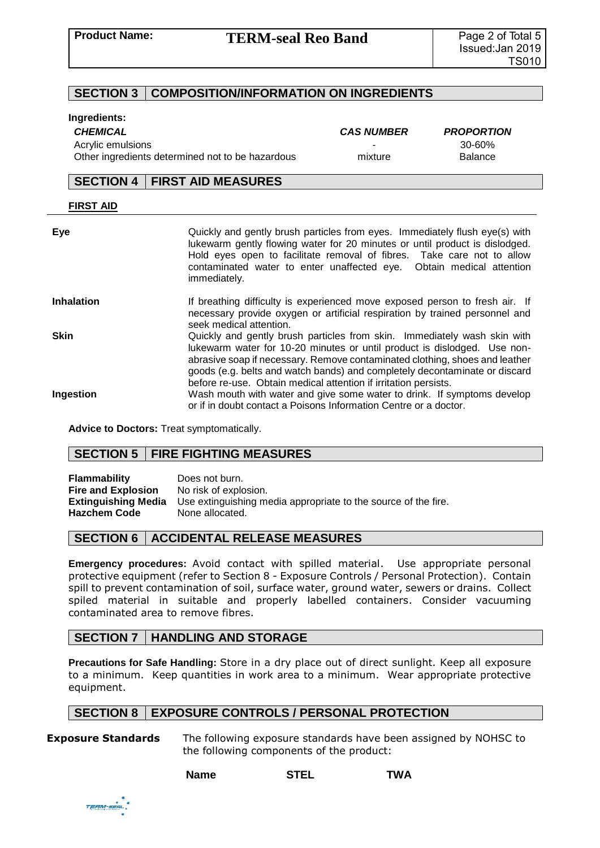## **SECTION 3 COMPOSITION/INFORMATION ON INGREDIENTS**

#### **Ingredients:**

*CHEMICAL CAS NUMBER PROPORTION* Acrylic emulsions **30-60%**<br>Other ingredients determined not to be hazardous **1988** and the state of the Balance Other ingredients determined not to be hazardous mixture

## **SECTION 4 FIRST AID MEASURES**

| Eye               | Quickly and gently brush particles from eyes. Immediately flush eye(s) with<br>lukewarm gently flowing water for 20 minutes or until product is dislodged.<br>Hold eyes open to facilitate removal of fibres. Take care not to allow<br>contaminated water to enter unaffected eye. Obtain medical attention<br>immediately.                                                         |
|-------------------|--------------------------------------------------------------------------------------------------------------------------------------------------------------------------------------------------------------------------------------------------------------------------------------------------------------------------------------------------------------------------------------|
| <b>Inhalation</b> | If breathing difficulty is experienced move exposed person to fresh air. If<br>necessary provide oxygen or artificial respiration by trained personnel and<br>seek medical attention.                                                                                                                                                                                                |
| <b>Skin</b>       | Quickly and gently brush particles from skin. Immediately wash skin with<br>lukewarm water for 10-20 minutes or until product is dislodged. Use non-<br>abrasive soap if necessary. Remove contaminated clothing, shoes and leather<br>goods (e.g. belts and watch bands) and completely decontaminate or discard<br>before re-use. Obtain medical attention if irritation persists. |
| Ingestion         | Wash mouth with water and give some water to drink. If symptoms develop<br>or if in doubt contact a Poisons Information Centre or a doctor.                                                                                                                                                                                                                                          |

**Advice to Doctors:** Treat symptomatically.

## **SECTION 5 FIRE FIGHTING MEASURES**

**Flammability** Does not burn. **Fire and Explosion** No risk of explosion.<br>**Extinguishing Media** Use extinguishing m Use extinguishing media appropriate to the source of the fire. **Hazchem Code** None allocated.

## **SECTION 6 ACCIDENTAL RELEASE MEASURES**

**Emergency procedures:** Avoid contact with spilled material. Use appropriate personal protective equipment (refer to Section 8 - Exposure Controls / Personal Protection). Contain spill to prevent contamination of soil, surface water, ground water, sewers or drains. Collect spiled material in suitable and properly labelled containers. Consider vacuuming contaminated area to remove fibres.

## **SECTION 7 HANDLING AND STORAGE**

**Precautions for Safe Handling:** Store in a dry place out of direct sunlight. Keep all exposure to a minimum. Keep quantities in work area to a minimum. Wear appropriate protective equipment.

## **SECTION 8 EXPOSURE CONTROLS / PERSONAL PROTECTION**

**Exposure Standards** The following exposure standards have been assigned by NOHSC to the following components of the product:

| <b>Name</b> | <b>STEL</b> | <b>TWA</b> |
|-------------|-------------|------------|
|             |             |            |

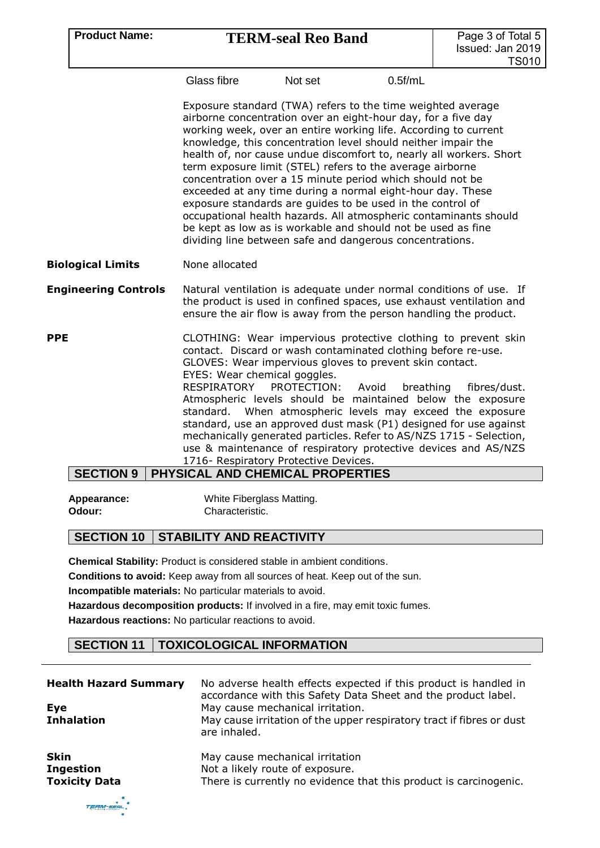# **Product Name: TERM-seal Reo Band**

Glass fibre Mot set 0.5f/mL

Exposure standard (TWA) refers to the time weighted average airborne concentration over an eight-hour day, for a five day working week, over an entire working life. According to current knowledge, this concentration level should neither impair the health of, nor cause undue discomfort to, nearly all workers. Short term exposure limit (STEL) refers to the average airborne concentration over a 15 minute period which should not be exceeded at any time during a normal eight-hour day. These exposure standards are guides to be used in the control of occupational health hazards. All atmospheric contaminants should be kept as low as is workable and should not be used as fine dividing line between safe and dangerous concentrations.

#### **Biological Limits** None allocated

**Engineering Controls** Natural ventilation is adequate under normal conditions of use. If the product is used in confined spaces, use exhaust ventilation and ensure the air flow is away from the person handling the product.

**PPE CLOTHING:** Wear impervious protective clothing to prevent skin contact. Discard or wash contaminated clothing before re-use. GLOVES: Wear impervious gloves to prevent skin contact. EYES: Wear chemical goggles. RESPIRATORY PROTECTION: Avoid breathing fibres/dust. Atmospheric levels should be maintained below the exposure standard. When atmospheric levels may exceed the exposure standard, use an approved dust mask (P1) designed for use against mechanically generated particles. Refer to AS/NZS 1715 - Selection, use & maintenance of respiratory protective devices and AS/NZS 1716- Respiratory Protective Devices.

# **SECTION 9 PHYSICAL AND CHEMICAL PROPERTIES**

| Appearance: | White Fiberglass Matting. |
|-------------|---------------------------|
| Odour:      | Characteristic.           |

## **SECTION 10 STABILITY AND REACTIVITY**

**Chemical Stability:** Product is considered stable in ambient conditions.

**Conditions to avoid:** Keep away from all sources of heat. Keep out of the sun.

**Incompatible materials:** No particular materials to avoid.

**Hazardous decomposition products:** If involved in a fire, may emit toxic fumes.

**Hazardous reactions:** No particular reactions to avoid.

# **SECTION 11 TOXICOLOGICAL INFORMATION**

| <b>Health Hazard Summary</b><br>Eye<br><b>Inhalation</b> | No adverse health effects expected if this product is handled in<br>accordance with this Safety Data Sheet and the product label.<br>May cause mechanical irritation.<br>May cause irritation of the upper respiratory tract if fibres or dust<br>are inhaled. |
|----------------------------------------------------------|----------------------------------------------------------------------------------------------------------------------------------------------------------------------------------------------------------------------------------------------------------------|
| <b>Skin</b>                                              | May cause mechanical irritation                                                                                                                                                                                                                                |
| <b>Ingestion</b>                                         | Not a likely route of exposure.                                                                                                                                                                                                                                |
| <b>Toxicity Data</b>                                     | There is currently no evidence that this product is carcinogenic.                                                                                                                                                                                              |

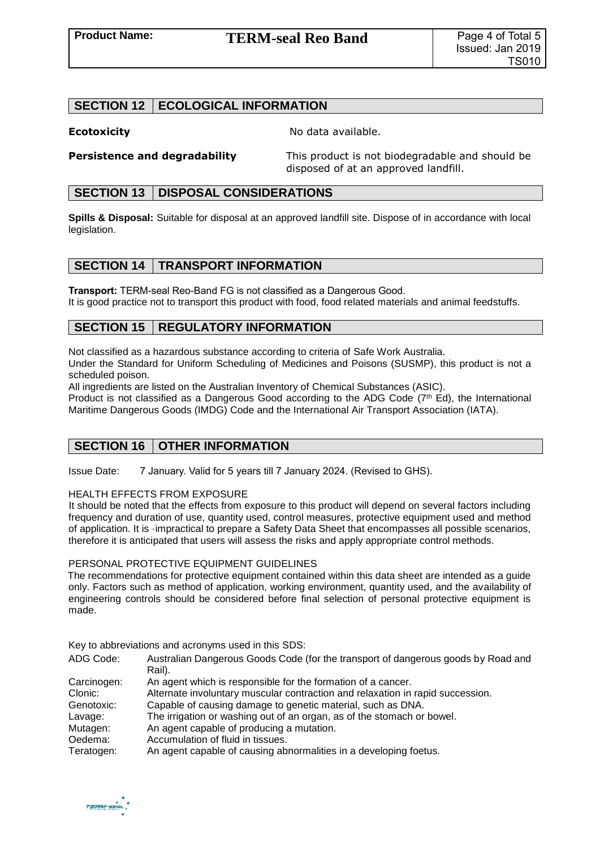# **SECTION 12 ECOLOGICAL INFORMATION**

**Ecotoxicity No data available.** 

**Persistence and degradability** This product is not biodegradable and should be disposed of at an approved landfill.

#### **SECTION 13 DISPOSAL CONSIDERATIONS**

**Spills & Disposal:** Suitable for disposal at an approved landfill site. Dispose of in accordance with local legislation.

## **SECTION 14 | TRANSPORT INFORMATION**

It is good practice not to transport this product with food, food related materials and animal feedstuffs. **Transport:** TERM-seal Reo-Band FG is not classified as a Dangerous Good.

# **SECTION 15 | REGULATORY INFORMATION**

Not classified as a hazardous substance according to criteria of Safe Work Australia.

Under the Standard for Uniform Scheduling of Medicines and Poisons (SUSMP), this product is not a scheduled poison.

All ingredients are listed on the Australian Inventory of Chemical Substances (ASIC). Product is not classified as a Dangerous Good according to the ADG Code (7<sup>th</sup> Ed), the International Maritime Dangerous Goods (IMDG) Code and the International Air Transport Association (IATA).

# **SECTION 16 OTHER INFORMATION**

Issue Date: 7 January. Valid for 5 years till 7 January 2024. (Revised to GHS).

#### HEALTH EFFECTS FROM EXPOSURE

It should be noted that the effects from exposure to this product will depend on several factors including frequency and duration of use, quantity used, control measures, protective equipment used and method of application. It is ·impractical to prepare a Safety Data Sheet that encompasses all possible scenarios, therefore it is anticipated that users will assess the risks and apply appropriate control methods.

#### PERSONAL PROTECTIVE EQUIPMENT GUIDELINES

The recommendations for protective equipment contained within this data sheet are intended as a guide only. Factors such as method of application, working environment, quantity used, and the availability of engineering controls should be considered before final selection of personal protective equipment is made.

Key to abbreviations and acronyms used in this SDS:

| ADG Code:   | Australian Dangerous Goods Code (for the transport of dangerous goods by Road and |
|-------------|-----------------------------------------------------------------------------------|
|             | Rail).                                                                            |
| Carcinogen: | An agent which is responsible for the formation of a cancer.                      |
| Clonic:     | Alternate involuntary muscular contraction and relaxation in rapid succession.    |
| Genotoxic:  | Capable of causing damage to genetic material, such as DNA.                       |
| Lavage:     | The irrigation or washing out of an organ, as of the stomach or bowel.            |
| Mutagen:    | An agent capable of producing a mutation.                                         |
| Oedema:     | Accumulation of fluid in tissues.                                                 |
| Teratogen:  | An agent capable of causing abnormalities in a developing foetus.                 |